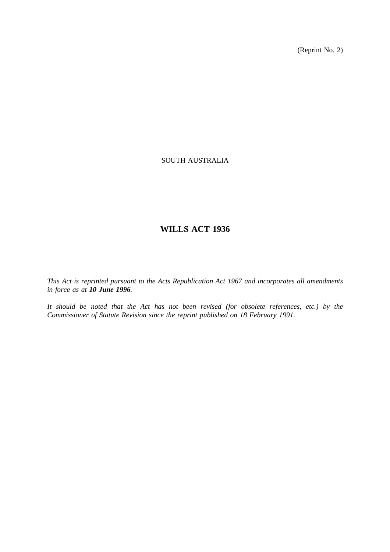(Reprint No. 2)

# SOUTH AUSTRALIA

# **WILLS ACT 1936**

*This Act is reprinted pursuant to the Acts Republication Act 1967 and incorporates all amendments in force as at 10 June 1996.*

*It should be noted that the Act has not been revised (for obsolete references, etc.) by the Commissioner of Statute Revision since the reprint published on 18 February 1991.*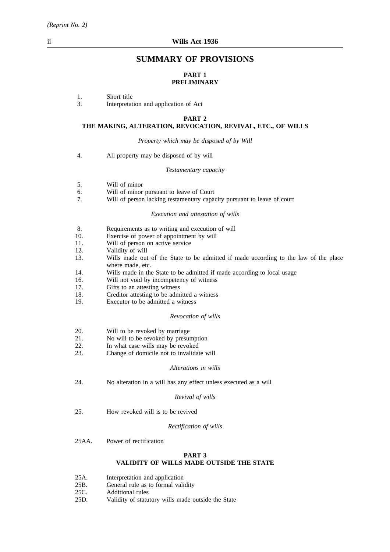# **SUMMARY OF PROVISIONS**

## **PART 1 PRELIMINARY**

# 1. Short title<br>3. Interpretat

3. Interpretation and application of Act

#### **PART 2**

#### **THE MAKING, ALTERATION, REVOCATION, REVIVAL, ETC., OF WILLS**

*Property which may be disposed of by Will*

4. All property may be disposed of by will

#### *Testamentary capacity*

- 5. Will of minor
- 6. Will of minor pursuant to leave of Court<br>7. Will of person lacking testamentary capa-
- Will of person lacking testamentary capacity pursuant to leave of court

#### *Execution and attestation of wills*

- 8. Requirements as to writing and execution of will
- 10. Exercise of power of appointment by will
- 11. Will of person on active service
- 12. Validity of will<br>13. Wills made out
- Wills made out of the State to be admitted if made according to the law of the place where made, etc.
- 14. Wills made in the State to be admitted if made according to local usage
- 16. Will not void by incompetency of witness
- 17. Gifts to an attesting witness
- 18. Creditor attesting to be admitted a witness
- 19. Executor to be admitted a witness

#### *Revocation of wills*

- 20. Will to be revoked by marriage
- 21. No will to be revoked by presumption
- 22. In what case wills may be revoked
- 23. Change of domicile not to invalidate will

#### *Alterations in wills*

24. No alteration in a will has any effect unless executed as a will

#### *Revival of wills*

25. How revoked will is to be revived

#### *Rectification of wills*

25AA. Power of rectification

## **PART 3 VALIDITY OF WILLS MADE OUTSIDE THE STATE**

- 25A. Interpretation and application
- 25B. General rule as to formal validity
- 25C. Additional rules
- 25D. Validity of statutory wills made outside the State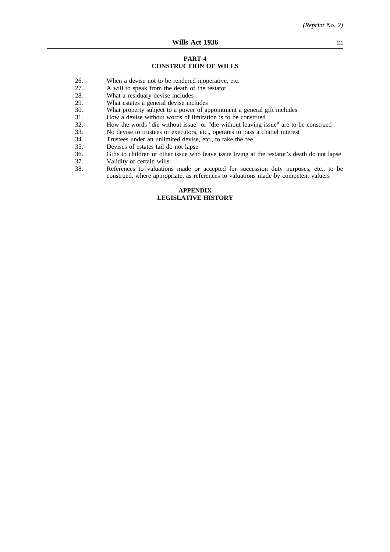#### **PART 4 CONSTRUCTION OF WILLS**

- 26. When a devise not to be rendered inoperative, etc.
- 27. A will to speak from the death of the testator
- 28. What a residuary devise includes 29. What estates a general devise includes
- 29. What estates a general devise includes<br>30. What property subject to a power of a
- What property subject to a power of appointment a general gift includes
- 31. How a devise without words of limitation is to be construed<br>32. How the words "die without issue" or "die without leaving is
- 32. How the words "die without issue" or "die without leaving issue" are to be construed
- 33. No devise to trustees or executors, etc., operates to pass a chattel interest
- 34. Trustees under an unlimited devise, etc., to take the fee
- 35. Devises of estates tail do not lapse
- 36. Gifts to children or other issue who leave issue living at the testator's death do not lapse
- 
- 37. Validity of certain wills<br>38. References to valuation References to valuations made or accepted for succession duty purposes, etc., to be construed, where appropriate, as references to valuations made by competent valuers

## **APPENDIX LEGISLATIVE HISTORY**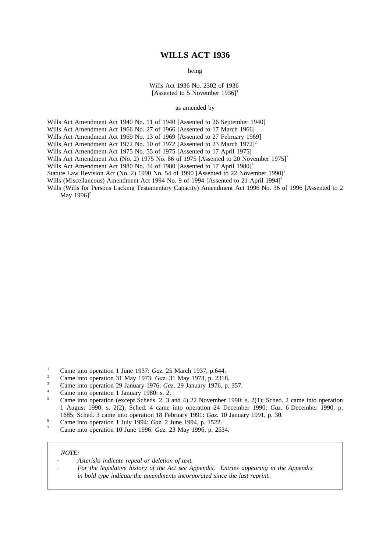# **WILLS ACT 1936**

being

Wills Act 1936 No. 2302 of 1936 [Assented to 5 November  $1936$ ]<sup>1</sup>

as amended by

Wills Act Amendment Act 1940 No. 11 of 1940 [Assented to 26 September 1940]

Wills Act Amendment Act 1966 No. 27 of 1966 [Assented to 17 March 1966]

Wills Act Amendment Act 1969 No. 13 of 1969 [Assented to 27 February 1969]

Wills Act Amendment Act 1972 No. 10 of 1972 [Assented to 23 March 1972]<sup>2</sup>

Wills Act Amendment Act 1975 No. 55 of 1975 [Assented to 17 April 1975]

Wills Act Amendment Act (No. 2) 1975 No. 86 of 1975 [Assented to 20 November 1975]<sup>3</sup>

Wills Act Amendment Act 1980 No. 34 of 1980 [Assented to 17 April 1980]<sup>4</sup>

Statute Law Revision Act (No. 2) 1990 No. 54 of 1990 [Assented to 22 November 1990]<sup>5</sup>

Wills (Miscellaneous) Amendment Act 1994 No. 9 of 1994 [Assented to 21 April 1994]<sup>6</sup>

Wills (Wills for Persons Lacking Testamentary Capacity) Amendment Act 1996 No. 36 of 1996 [Assented to 2 May 1996]<sup>7</sup>

- <sup>1</sup> Came into operation 1 June 1937: *Gaz.* 25 March 1937, p.644.
- <sup>2</sup> Came into operation 31 May 1973: *Gaz*. 31 May 1973, p. 2318.
- <sup>3</sup> Came into operation 29 January 1976: *Gaz*. 29 January 1976, p. 357.
- <sup>4</sup> Came into operation 1 January 1980: s. 2.<br> $\frac{5}{2}$  Came into approximation (expects Salacter 2, 2.2)

- <sup>6</sup> Came into operation 1 July 1994: *Gaz*. 2 June 1994, p. 1522.
- <sup>7</sup> Came into operation 10 June 1996: *Gaz*. 23 May 1996, p. 2534.

#### *NOTE:*

*Asterisks indicate repeal or deletion of text.*

*For the legislative history of the Act see Appendix. Entries appearing in the Appendix in bold type indicate the amendments incorporated since the last reprint.*

<sup>5</sup> Came into operation (except Scheds. 2, 3 and 4) 22 November 1990: s. 2(1); Sched. 2 came into operation 1 August 1990: s. 2(2); Sched. 4 came into operation 24 December 1990: *Gaz*. 6 December 1990, p. 1685; Sched. 3 came into operation 18 February 1991: *Gaz.* 10 January 1991, p. 30.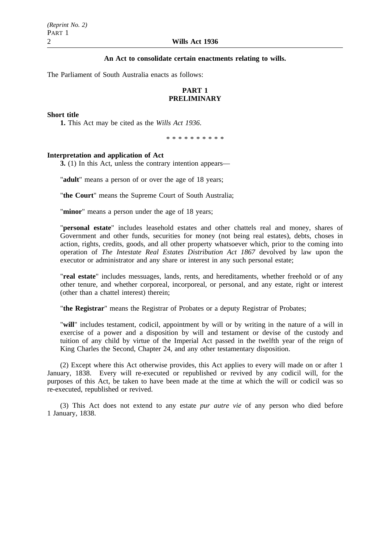## **An Act to consolidate certain enactments relating to wills.**

The Parliament of South Australia enacts as follows:

# **PART 1 PRELIMINARY**

#### **Short title**

**1.** This Act may be cited as the *Wills Act 1936*.

\*\*\*\*\*\*\*\*\*\*

## **Interpretation and application of Act**

**3.** (1) In this Act, unless the contrary intention appears—

"**adult**" means a person of or over the age of 18 years;

"**the Court**" means the Supreme Court of South Australia;

"**minor**" means a person under the age of 18 years;

"**personal estate**" includes leasehold estates and other chattels real and money, shares of Government and other funds, securities for money (not being real estates), debts, choses in action, rights, credits, goods, and all other property whatsoever which, prior to the coming into operation of *The Intestate Real Estates Distribution Act 1867* devolved by law upon the executor or administrator and any share or interest in any such personal estate;

"**real estate**" includes messuages, lands, rents, and hereditaments, whether freehold or of any other tenure, and whether corporeal, incorporeal, or personal, and any estate, right or interest (other than a chattel interest) therein;

"**the Registrar**" means the Registrar of Probates or a deputy Registrar of Probates;

"**will**" includes testament, codicil, appointment by will or by writing in the nature of a will in exercise of a power and a disposition by will and testament or devise of the custody and tuition of any child by virtue of the Imperial Act passed in the twelfth year of the reign of King Charles the Second, Chapter 24, and any other testamentary disposition.

(2) Except where this Act otherwise provides, this Act applies to every will made on or after 1 January, 1838. Every will re-executed or republished or revived by any codicil will, for the purposes of this Act, be taken to have been made at the time at which the will or codicil was so re-executed, republished or revived.

(3) This Act does not extend to any estate *pur autre vie* of any person who died before 1 January, 1838.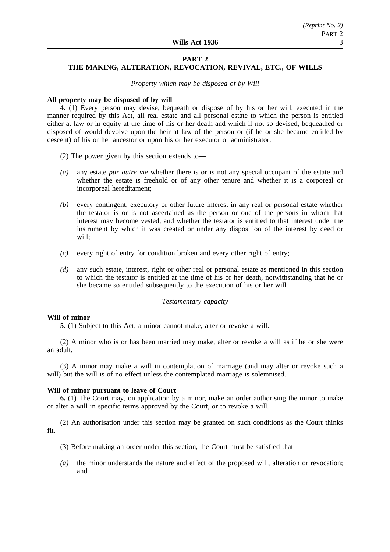#### **PART 2**

# **THE MAKING, ALTERATION, REVOCATION, REVIVAL, ETC., OF WILLS**

*Property which may be disposed of by Will*

#### **All property may be disposed of by will**

**4.** (1) Every person may devise, bequeath or dispose of by his or her will, executed in the manner required by this Act, all real estate and all personal estate to which the person is entitled either at law or in equity at the time of his or her death and which if not so devised, bequeathed or disposed of would devolve upon the heir at law of the person or (if he or she became entitled by descent) of his or her ancestor or upon his or her executor or administrator.

- (2) The power given by this section extends to—
- *(a)* any estate *pur autre vie* whether there is or is not any special occupant of the estate and whether the estate is freehold or of any other tenure and whether it is a corporeal or incorporeal hereditament;
- *(b)* every contingent, executory or other future interest in any real or personal estate whether the testator is or is not ascertained as the person or one of the persons in whom that interest may become vested, and whether the testator is entitled to that interest under the instrument by which it was created or under any disposition of the interest by deed or will;
- *(c)* every right of entry for condition broken and every other right of entry;
- *(d)* any such estate, interest, right or other real or personal estate as mentioned in this section to which the testator is entitled at the time of his or her death, notwithstanding that he or she became so entitled subsequently to the execution of his or her will.

#### *Testamentary capacity*

#### **Will of minor**

**5.** (1) Subject to this Act, a minor cannot make, alter or revoke a will.

(2) A minor who is or has been married may make, alter or revoke a will as if he or she were an adult.

(3) A minor may make a will in contemplation of marriage (and may alter or revoke such a will) but the will is of no effect unless the contemplated marriage is solemnised.

#### **Will of minor pursuant to leave of Court**

**6.** (1) The Court may, on application by a minor, make an order authorising the minor to make or alter a will in specific terms approved by the Court, or to revoke a will.

(2) An authorisation under this section may be granted on such conditions as the Court thinks fit.

- (3) Before making an order under this section, the Court must be satisfied that—
- *(a)* the minor understands the nature and effect of the proposed will, alteration or revocation; and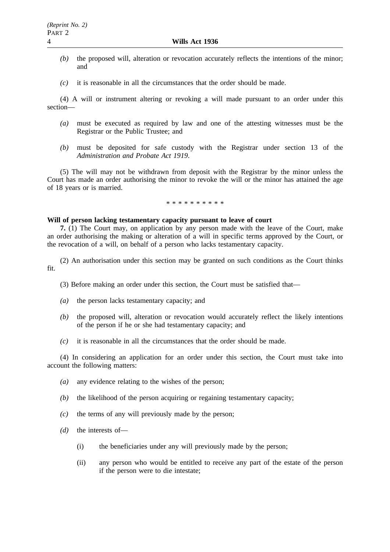- *(b)* the proposed will, alteration or revocation accurately reflects the intentions of the minor; and
- *(c)* it is reasonable in all the circumstances that the order should be made.

(4) A will or instrument altering or revoking a will made pursuant to an order under this section—

- *(a)* must be executed as required by law and one of the attesting witnesses must be the Registrar or the Public Trustee; and
- *(b)* must be deposited for safe custody with the Registrar under section 13 of the *Administration and Probate Act 1919*.

(5) The will may not be withdrawn from deposit with the Registrar by the minor unless the Court has made an order authorising the minor to revoke the will or the minor has attained the age of 18 years or is married.

#### \*\*\*\*\*\*\*\*\*\*

#### **Will of person lacking testamentary capacity pursuant to leave of court**

**7.** (1) The Court may, on application by any person made with the leave of the Court, make an order authorising the making or alteration of a will in specific terms approved by the Court, or the revocation of a will, on behalf of a person who lacks testamentary capacity.

(2) An authorisation under this section may be granted on such conditions as the Court thinks fit.

- (3) Before making an order under this section, the Court must be satisfied that—
- *(a)* the person lacks testamentary capacity; and
- *(b)* the proposed will, alteration or revocation would accurately reflect the likely intentions of the person if he or she had testamentary capacity; and
- *(c)* it is reasonable in all the circumstances that the order should be made.

(4) In considering an application for an order under this section, the Court must take into account the following matters:

- *(a)* any evidence relating to the wishes of the person;
- *(b)* the likelihood of the person acquiring or regaining testamentary capacity;
- *(c)* the terms of any will previously made by the person;
- *(d)* the interests of—
	- (i) the beneficiaries under any will previously made by the person;
	- (ii) any person who would be entitled to receive any part of the estate of the person if the person were to die intestate;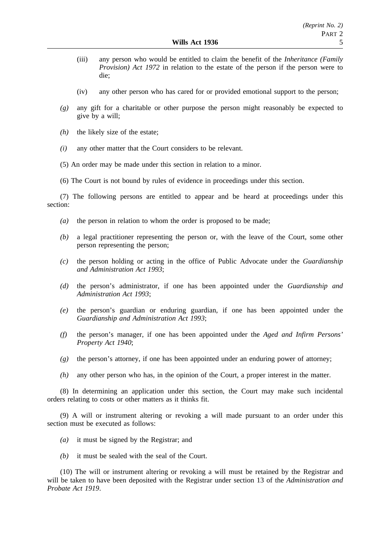- (iii) any person who would be entitled to claim the benefit of the *Inheritance (Family Provision) Act 1972* in relation to the estate of the person if the person were to die;
- (iv) any other person who has cared for or provided emotional support to the person;
- *(g)* any gift for a charitable or other purpose the person might reasonably be expected to give by a will;
- *(h)* the likely size of the estate;
- *(i)* any other matter that the Court considers to be relevant.
- (5) An order may be made under this section in relation to a minor.
- (6) The Court is not bound by rules of evidence in proceedings under this section.

(7) The following persons are entitled to appear and be heard at proceedings under this section:

- *(a)* the person in relation to whom the order is proposed to be made;
- *(b)* a legal practitioner representing the person or, with the leave of the Court, some other person representing the person;
- *(c)* the person holding or acting in the office of Public Advocate under the *Guardianship and Administration Act 1993*;
- *(d)* the person's administrator, if one has been appointed under the *Guardianship and Administration Act 1993*;
- *(e)* the person's guardian or enduring guardian, if one has been appointed under the *Guardianship and Administration Act 1993*;
- *(f)* the person's manager, if one has been appointed under the *Aged and Infirm Persons' Property Act 1940*;
- *(g)* the person's attorney, if one has been appointed under an enduring power of attorney;
- *(h)* any other person who has, in the opinion of the Court, a proper interest in the matter.

(8) In determining an application under this section, the Court may make such incidental orders relating to costs or other matters as it thinks fit.

(9) A will or instrument altering or revoking a will made pursuant to an order under this section must be executed as follows:

- *(a)* it must be signed by the Registrar; and
- *(b)* it must be sealed with the seal of the Court.

(10) The will or instrument altering or revoking a will must be retained by the Registrar and will be taken to have been deposited with the Registrar under section 13 of the *Administration and Probate Act 1919*.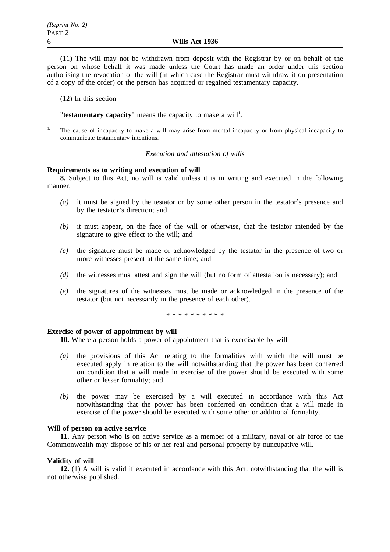(11) The will may not be withdrawn from deposit with the Registrar by or on behalf of the person on whose behalf it was made unless the Court has made an order under this section authorising the revocation of the will (in which case the Registrar must withdraw it on presentation of a copy of the order) or the person has acquired or regained testamentary capacity.

(12) In this section—

"testamentary capacity" means the capacity to make a will<sup>1</sup>.

1. The cause of incapacity to make a will may arise from mental incapacity or from physical incapacity to communicate testamentary intentions.

#### *Execution and attestation of wills*

## **Requirements as to writing and execution of will**

**8.** Subject to this Act, no will is valid unless it is in writing and executed in the following manner:

- *(a)* it must be signed by the testator or by some other person in the testator's presence and by the testator's direction; and
- *(b)* it must appear, on the face of the will or otherwise, that the testator intended by the signature to give effect to the will; and
- *(c)* the signature must be made or acknowledged by the testator in the presence of two or more witnesses present at the same time; and
- *(d)* the witnesses must attest and sign the will (but no form of attestation is necessary); and
- *(e)* the signatures of the witnesses must be made or acknowledged in the presence of the testator (but not necessarily in the presence of each other).

\*\*\*\*\*\*\*\*\*\*

#### **Exercise of power of appointment by will**

**10.** Where a person holds a power of appointment that is exercisable by will—

- *(a)* the provisions of this Act relating to the formalities with which the will must be executed apply in relation to the will notwithstanding that the power has been conferred on condition that a will made in exercise of the power should be executed with some other or lesser formality; and
- *(b)* the power may be exercised by a will executed in accordance with this Act notwithstanding that the power has been conferred on condition that a will made in exercise of the power should be executed with some other or additional formality.

## **Will of person on active service**

**11.** Any person who is on active service as a member of a military, naval or air force of the Commonwealth may dispose of his or her real and personal property by nuncupative will.

## **Validity of will**

**12.** (1) A will is valid if executed in accordance with this Act, notwithstanding that the will is not otherwise published.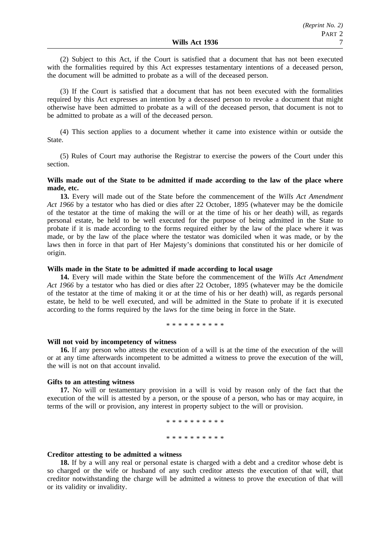(2) Subject to this Act, if the Court is satisfied that a document that has not been executed with the formalities required by this Act expresses testamentary intentions of a deceased person, the document will be admitted to probate as a will of the deceased person.

(3) If the Court is satisfied that a document that has not been executed with the formalities required by this Act expresses an intention by a deceased person to revoke a document that might otherwise have been admitted to probate as a will of the deceased person, that document is not to be admitted to probate as a will of the deceased person.

(4) This section applies to a document whether it came into existence within or outside the State.

(5) Rules of Court may authorise the Registrar to exercise the powers of the Court under this section.

## **Wills made out of the State to be admitted if made according to the law of the place where made, etc.**

**13.** Every will made out of the State before the commencement of the *Wills Act Amendment Act 1966* by a testator who has died or dies after 22 October, 1895 (whatever may be the domicile of the testator at the time of making the will or at the time of his or her death) will, as regards personal estate, be held to be well executed for the purpose of being admitted in the State to probate if it is made according to the forms required either by the law of the place where it was made, or by the law of the place where the testator was domiciled when it was made, or by the laws then in force in that part of Her Majesty's dominions that constituted his or her domicile of origin.

## **Wills made in the State to be admitted if made according to local usage**

**14.** Every will made within the State before the commencement of the *Wills Act Amendment Act 1966* by a testator who has died or dies after 22 October, 1895 (whatever may be the domicile of the testator at the time of making it or at the time of his or her death) will, as regards personal estate, be held to be well executed, and will be admitted in the State to probate if it is executed according to the forms required by the laws for the time being in force in the State.

\*\*\*\*\*\*\*\*\*\*

#### **Will not void by incompetency of witness**

**16.** If any person who attests the execution of a will is at the time of the execution of the will or at any time afterwards incompetent to be admitted a witness to prove the execution of the will, the will is not on that account invalid.

#### **Gifts to an attesting witness**

**17.** No will or testamentary provision in a will is void by reason only of the fact that the execution of the will is attested by a person, or the spouse of a person, who has or may acquire, in terms of the will or provision, any interest in property subject to the will or provision.

> \*\*\*\*\*\*\*\*\*\* \*\*\*\*\*\*\*\*\*\*

## **Creditor attesting to be admitted a witness**

**18.** If by a will any real or personal estate is charged with a debt and a creditor whose debt is so charged or the wife or husband of any such creditor attests the execution of that will, that creditor notwithstanding the charge will be admitted a witness to prove the execution of that will or its validity or invalidity.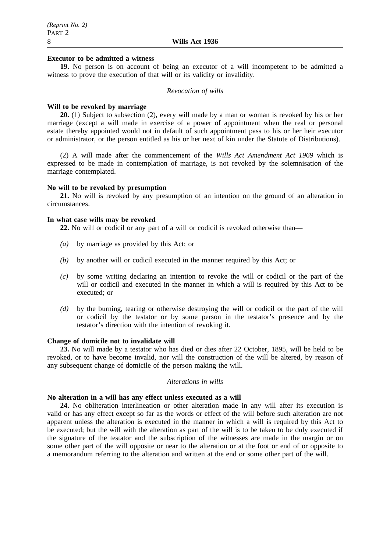#### **Executor to be admitted a witness**

**19.** No person is on account of being an executor of a will incompetent to be admitted a witness to prove the execution of that will or its validity or invalidity.

#### *Revocation of wills*

#### **Will to be revoked by marriage**

**20.** (1) Subject to subsection (2), every will made by a man or woman is revoked by his or her marriage (except a will made in exercise of a power of appointment when the real or personal estate thereby appointed would not in default of such appointment pass to his or her heir executor or administrator, or the person entitled as his or her next of kin under the Statute of Distributions).

(2) A will made after the commencement of the *Wills Act Amendment Act 1969* which is expressed to be made in contemplation of marriage, is not revoked by the solemnisation of the marriage contemplated.

## **No will to be revoked by presumption**

**21.** No will is revoked by any presumption of an intention on the ground of an alteration in circumstances.

#### **In what case wills may be revoked**

**22.** No will or codicil or any part of a will or codicil is revoked otherwise than—

- *(a)* by marriage as provided by this Act; or
- *(b)* by another will or codicil executed in the manner required by this Act; or
- *(c)* by some writing declaring an intention to revoke the will or codicil or the part of the will or codicil and executed in the manner in which a will is required by this Act to be executed; or
- *(d)* by the burning, tearing or otherwise destroying the will or codicil or the part of the will or codicil by the testator or by some person in the testator's presence and by the testator's direction with the intention of revoking it.

## **Change of domicile not to invalidate will**

**23.** No will made by a testator who has died or dies after 22 October, 1895, will be held to be revoked, or to have become invalid, nor will the construction of the will be altered, by reason of any subsequent change of domicile of the person making the will.

#### *Alterations in wills*

## **No alteration in a will has any effect unless executed as a will**

**24.** No obliteration interlineation or other alteration made in any will after its execution is valid or has any effect except so far as the words or effect of the will before such alteration are not apparent unless the alteration is executed in the manner in which a will is required by this Act to be executed; but the will with the alteration as part of the will is to be taken to be duly executed if the signature of the testator and the subscription of the witnesses are made in the margin or on some other part of the will opposite or near to the alteration or at the foot or end of or opposite to a memorandum referring to the alteration and written at the end or some other part of the will.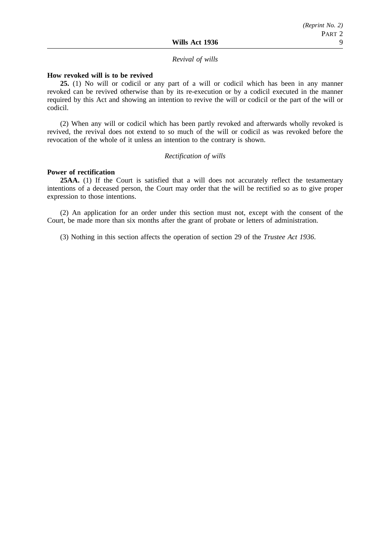#### *Revival of wills*

#### **How revoked will is to be revived**

**25.** (1) No will or codicil or any part of a will or codicil which has been in any manner revoked can be revived otherwise than by its re-execution or by a codicil executed in the manner required by this Act and showing an intention to revive the will or codicil or the part of the will or codicil.

(2) When any will or codicil which has been partly revoked and afterwards wholly revoked is revived, the revival does not extend to so much of the will or codicil as was revoked before the revocation of the whole of it unless an intention to the contrary is shown.

#### *Rectification of wills*

## **Power of rectification**

**25AA.** (1) If the Court is satisfied that a will does not accurately reflect the testamentary intentions of a deceased person, the Court may order that the will be rectified so as to give proper expression to those intentions.

(2) An application for an order under this section must not, except with the consent of the Court, be made more than six months after the grant of probate or letters of administration.

(3) Nothing in this section affects the operation of section 29 of the *Trustee Act 1936*.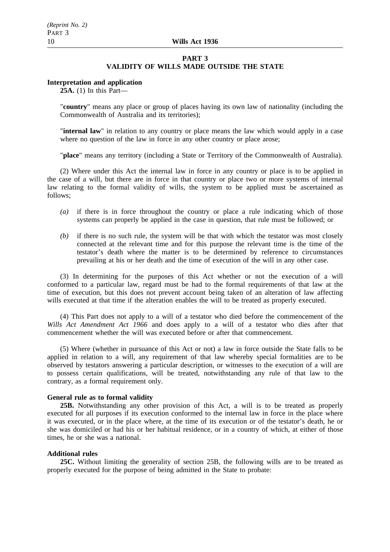#### **PART 3**

## **VALIDITY OF WILLS MADE OUTSIDE THE STATE**

#### **Interpretation and application**

**25A.** (1) In this Part—

"**country**" means any place or group of places having its own law of nationality (including the Commonwealth of Australia and its territories);

"**internal law**" in relation to any country or place means the law which would apply in a case where no question of the law in force in any other country or place arose;

"**place**" means any territory (including a State or Territory of the Commonwealth of Australia).

(2) Where under this Act the internal law in force in any country or place is to be applied in the case of a will, but there are in force in that country or place two or more systems of internal law relating to the formal validity of wills, the system to be applied must be ascertained as follows;

- *(a)* if there is in force throughout the country or place a rule indicating which of those systems can properly be applied in the case in question, that rule must be followed; or
- *(b)* if there is no such rule, the system will be that with which the testator was most closely connected at the relevant time and for this purpose the relevant time is the time of the testator's death where the matter is to be determined by reference to circumstances prevailing at his or her death and the time of execution of the will in any other case.

(3) In determining for the purposes of this Act whether or not the execution of a will conformed to a particular law, regard must be had to the formal requirements of that law at the time of execution, but this does not prevent account being taken of an alteration of law affecting wills executed at that time if the alteration enables the will to be treated as properly executed.

(4) This Part does not apply to a will of a testator who died before the commencement of the *Wills Act Amendment Act 1966* and does apply to a will of a testator who dies after that commencement whether the will was executed before or after that commencement.

(5) Where (whether in pursuance of this Act or not) a law in force outside the State falls to be applied in relation to a will, any requirement of that law whereby special formalities are to be observed by testators answering a particular description, or witnesses to the execution of a will are to possess certain qualifications, will be treated, notwithstanding any rule of that law to the contrary, as a formal requirement only.

#### **General rule as to formal validity**

**25B.** Notwithstanding any other provision of this Act, a will is to be treated as properly executed for all purposes if its execution conformed to the internal law in force in the place where it was executed, or in the place where, at the time of its execution or of the testator's death, he or she was domiciled or had his or her habitual residence, or in a country of which, at either of those times, he or she was a national.

#### **Additional rules**

**25C.** Without limiting the generality of section 25B, the following wills are to be treated as properly executed for the purpose of being admitted in the State to probate: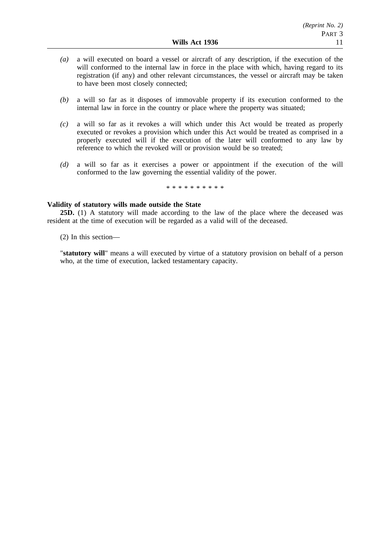- *(a)* a will executed on board a vessel or aircraft of any description, if the execution of the will conformed to the internal law in force in the place with which, having regard to its registration (if any) and other relevant circumstances, the vessel or aircraft may be taken to have been most closely connected;
- *(b)* a will so far as it disposes of immovable property if its execution conformed to the internal law in force in the country or place where the property was situated;
- *(c)* a will so far as it revokes a will which under this Act would be treated as properly executed or revokes a provision which under this Act would be treated as comprised in a properly executed will if the execution of the later will conformed to any law by reference to which the revoked will or provision would be so treated;
- *(d)* a will so far as it exercises a power or appointment if the execution of the will conformed to the law governing the essential validity of the power.

\*\*\*\*\*\*\*\*\*\*

## **Validity of statutory wills made outside the State**

**25D.** (1) A statutory will made according to the law of the place where the deceased was resident at the time of execution will be regarded as a valid will of the deceased.

(2) In this section—

"**statutory will**" means a will executed by virtue of a statutory provision on behalf of a person who, at the time of execution, lacked testamentary capacity.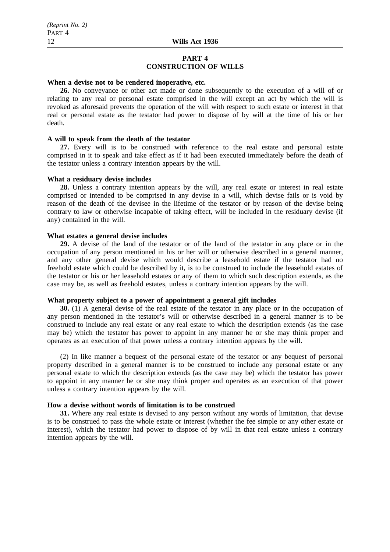#### **PART 4 CONSTRUCTION OF WILLS**

## **When a devise not to be rendered inoperative, etc.**

**26.** No conveyance or other act made or done subsequently to the execution of a will of or relating to any real or personal estate comprised in the will except an act by which the will is revoked as aforesaid prevents the operation of the will with respect to such estate or interest in that real or personal estate as the testator had power to dispose of by will at the time of his or her death.

#### **A will to speak from the death of the testator**

**27.** Every will is to be construed with reference to the real estate and personal estate comprised in it to speak and take effect as if it had been executed immediately before the death of the testator unless a contrary intention appears by the will.

## **What a residuary devise includes**

**28.** Unless a contrary intention appears by the will, any real estate or interest in real estate comprised or intended to be comprised in any devise in a will, which devise fails or is void by reason of the death of the devisee in the lifetime of the testator or by reason of the devise being contrary to law or otherwise incapable of taking effect, will be included in the residuary devise (if any) contained in the will.

## **What estates a general devise includes**

**29.** A devise of the land of the testator or of the land of the testator in any place or in the occupation of any person mentioned in his or her will or otherwise described in a general manner, and any other general devise which would describe a leasehold estate if the testator had no freehold estate which could be described by it, is to be construed to include the leasehold estates of the testator or his or her leasehold estates or any of them to which such description extends, as the case may be, as well as freehold estates, unless a contrary intention appears by the will.

## **What property subject to a power of appointment a general gift includes**

**30.** (1) A general devise of the real estate of the testator in any place or in the occupation of any person mentioned in the testator's will or otherwise described in a general manner is to be construed to include any real estate or any real estate to which the description extends (as the case may be) which the testator has power to appoint in any manner he or she may think proper and operates as an execution of that power unless a contrary intention appears by the will.

(2) In like manner a bequest of the personal estate of the testator or any bequest of personal property described in a general manner is to be construed to include any personal estate or any personal estate to which the description extends (as the case may be) which the testator has power to appoint in any manner he or she may think proper and operates as an execution of that power unless a contrary intention appears by the will.

## **How a devise without words of limitation is to be construed**

**31.** Where any real estate is devised to any person without any words of limitation, that devise is to be construed to pass the whole estate or interest (whether the fee simple or any other estate or interest), which the testator had power to dispose of by will in that real estate unless a contrary intention appears by the will.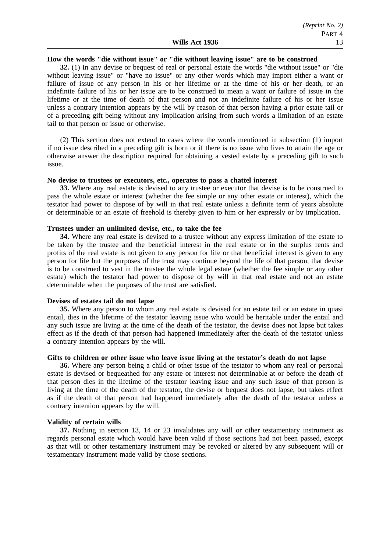#### **How the words "die without issue" or "die without leaving issue" are to be construed**

**32.** (1) In any devise or bequest of real or personal estate the words "die without issue" or "die without leaving issue" or "have no issue" or any other words which may import either a want or failure of issue of any person in his or her lifetime or at the time of his or her death, or an indefinite failure of his or her issue are to be construed to mean a want or failure of issue in the lifetime or at the time of death of that person and not an indefinite failure of his or her issue unless a contrary intention appears by the will by reason of that person having a prior estate tail or of a preceding gift being without any implication arising from such words a limitation of an estate tail to that person or issue or otherwise.

(2) This section does not extend to cases where the words mentioned in subsection (1) import if no issue described in a preceding gift is born or if there is no issue who lives to attain the age or otherwise answer the description required for obtaining a vested estate by a preceding gift to such issue.

#### **No devise to trustees or executors, etc., operates to pass a chattel interest**

**33.** Where any real estate is devised to any trustee or executor that devise is to be construed to pass the whole estate or interest (whether the fee simple or any other estate or interest), which the testator had power to dispose of by will in that real estate unless a definite term of years absolute or determinable or an estate of freehold is thereby given to him or her expressly or by implication.

## **Trustees under an unlimited devise, etc., to take the fee**

**34.** Where any real estate is devised to a trustee without any express limitation of the estate to be taken by the trustee and the beneficial interest in the real estate or in the surplus rents and profits of the real estate is not given to any person for life or that beneficial interest is given to any person for life but the purposes of the trust may continue beyond the life of that person, that devise is to be construed to vest in the trustee the whole legal estate (whether the fee simple or any other estate) which the testator had power to dispose of by will in that real estate and not an estate determinable when the purposes of the trust are satisfied.

#### **Devises of estates tail do not lapse**

**35.** Where any person to whom any real estate is devised for an estate tail or an estate in quasi entail, dies in the lifetime of the testator leaving issue who would be heritable under the entail and any such issue are living at the time of the death of the testator, the devise does not lapse but takes effect as if the death of that person had happened immediately after the death of the testator unless a contrary intention appears by the will.

#### **Gifts to children or other issue who leave issue living at the testator's death do not lapse**

**36.** Where any person being a child or other issue of the testator to whom any real or personal estate is devised or bequeathed for any estate or interest not determinable at or before the death of that person dies in the lifetime of the testator leaving issue and any such issue of that person is living at the time of the death of the testator, the devise or bequest does not lapse, but takes effect as if the death of that person had happened immediately after the death of the testator unless a contrary intention appears by the will.

#### **Validity of certain wills**

**37.** Nothing in section 13, 14 or 23 invalidates any will or other testamentary instrument as regards personal estate which would have been valid if those sections had not been passed, except as that will or other testamentary instrument may be revoked or altered by any subsequent will or testamentary instrument made valid by those sections.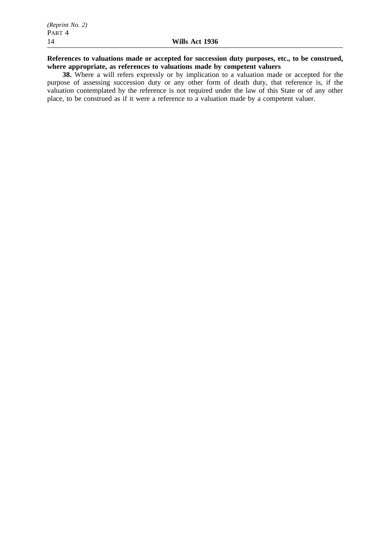# **References to valuations made or accepted for succession duty purposes, etc., to be construed, where appropriate, as references to valuations made by competent valuers**

**38.** Where a will refers expressly or by implication to a valuation made or accepted for the purpose of assessing succession duty or any other form of death duty, that reference is, if the valuation contemplated by the reference is not required under the law of this State or of any other place, to be construed as if it were a reference to a valuation made by a competent valuer.